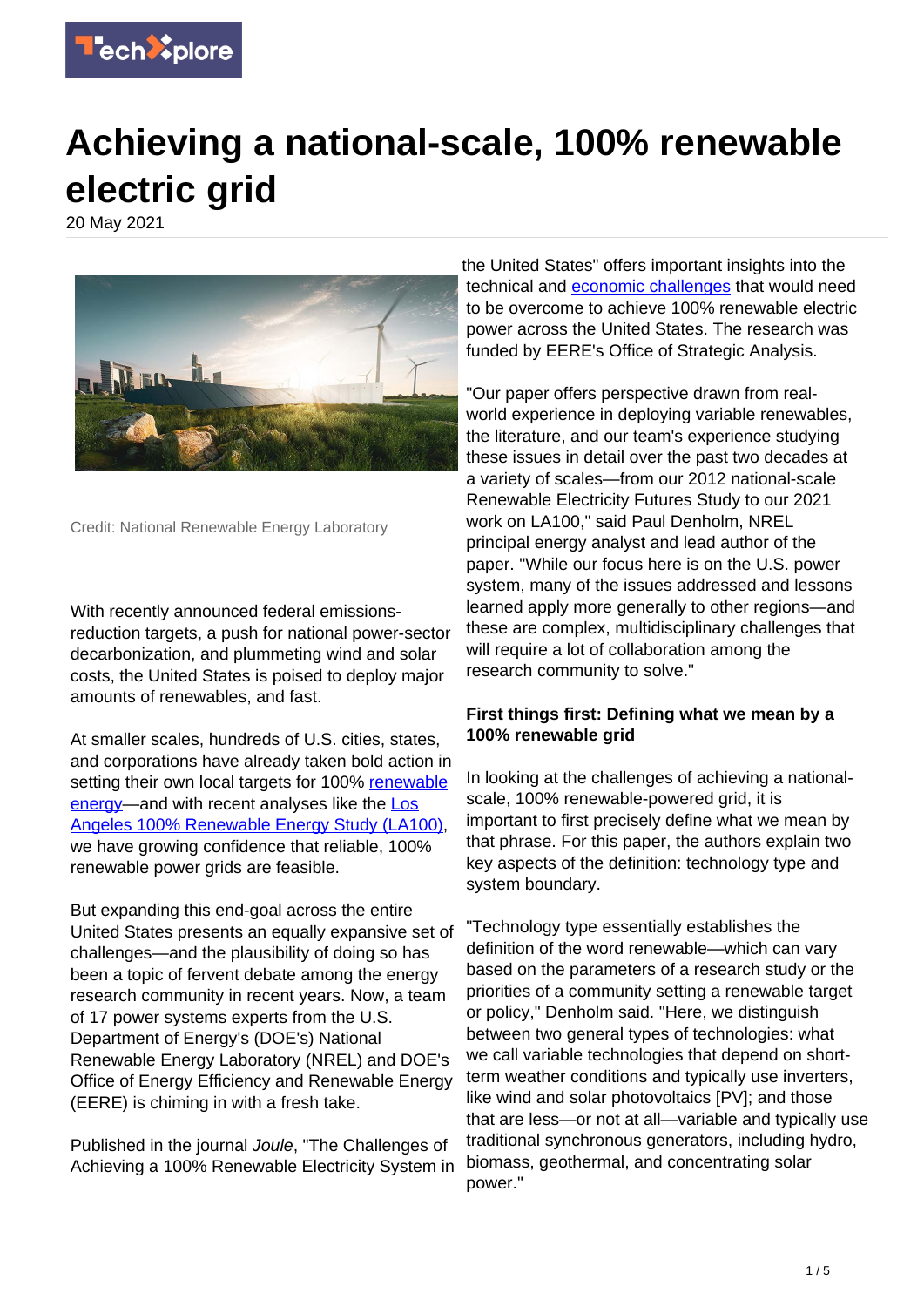

# **Achieving a national-scale, 100% renewable electric grid**

20 May 2021



Credit: National Renewable Energy Laboratory

With recently announced federal emissionsreduction targets, a push for national power-sector decarbonization, and plummeting wind and solar costs, the United States is poised to deploy major amounts of renewables, and fast.

At smaller scales, hundreds of U.S. cities, states, and corporations have already taken bold action in setting their own local targets for 100% [renewable](https://techxplore.com/tags/renewable+energy/) [energy—](https://techxplore.com/tags/renewable+energy/)and with recent analyses like the [Los](https://www.nrel.gov/news/features/2021/la100.html) [Angeles 100% Renewable Energy Study \(LA100\),](https://www.nrel.gov/news/features/2021/la100.html) we have growing confidence that reliable, 100% renewable power grids are feasible.

But expanding this end-goal across the entire United States presents an equally expansive set of challenges—and the plausibility of doing so has been a topic of fervent debate among the energy research community in recent years. Now, a team of 17 power systems experts from the U.S. Department of Energy's (DOE's) National Renewable Energy Laboratory (NREL) and DOE's Office of Energy Efficiency and Renewable Energy (EERE) is chiming in with a fresh take.

Published in the journal Joule, "The Challenges of Achieving a 100% Renewable Electricity System in

the United States" offers important insights into the technical and [economic challenges](https://techxplore.com/tags/economic+challenges/) that would need to be overcome to achieve 100% renewable electric power across the United States. The research was funded by EERE's Office of Strategic Analysis.

"Our paper offers perspective drawn from realworld experience in deploying variable renewables, the literature, and our team's experience studying these issues in detail over the past two decades at a variety of scales—from our 2012 national-scale Renewable Electricity Futures Study to our 2021 work on LA100," said Paul Denholm, NREL principal energy analyst and lead author of the paper. "While our focus here is on the U.S. power system, many of the issues addressed and lessons learned apply more generally to other regions—and these are complex, multidisciplinary challenges that will require a lot of collaboration among the research community to solve."

# **First things first: Defining what we mean by a 100% renewable grid**

In looking at the challenges of achieving a nationalscale, 100% renewable-powered grid, it is important to first precisely define what we mean by that phrase. For this paper, the authors explain two key aspects of the definition: technology type and system boundary.

"Technology type essentially establishes the definition of the word renewable—which can vary based on the parameters of a research study or the priorities of a community setting a renewable target or policy," Denholm said. "Here, we distinguish between two general types of technologies: what we call variable technologies that depend on shortterm weather conditions and typically use inverters, like wind and solar photovoltaics [PV]; and those that are less—or not at all—variable and typically use traditional synchronous generators, including hydro, biomass, geothermal, and concentrating solar power."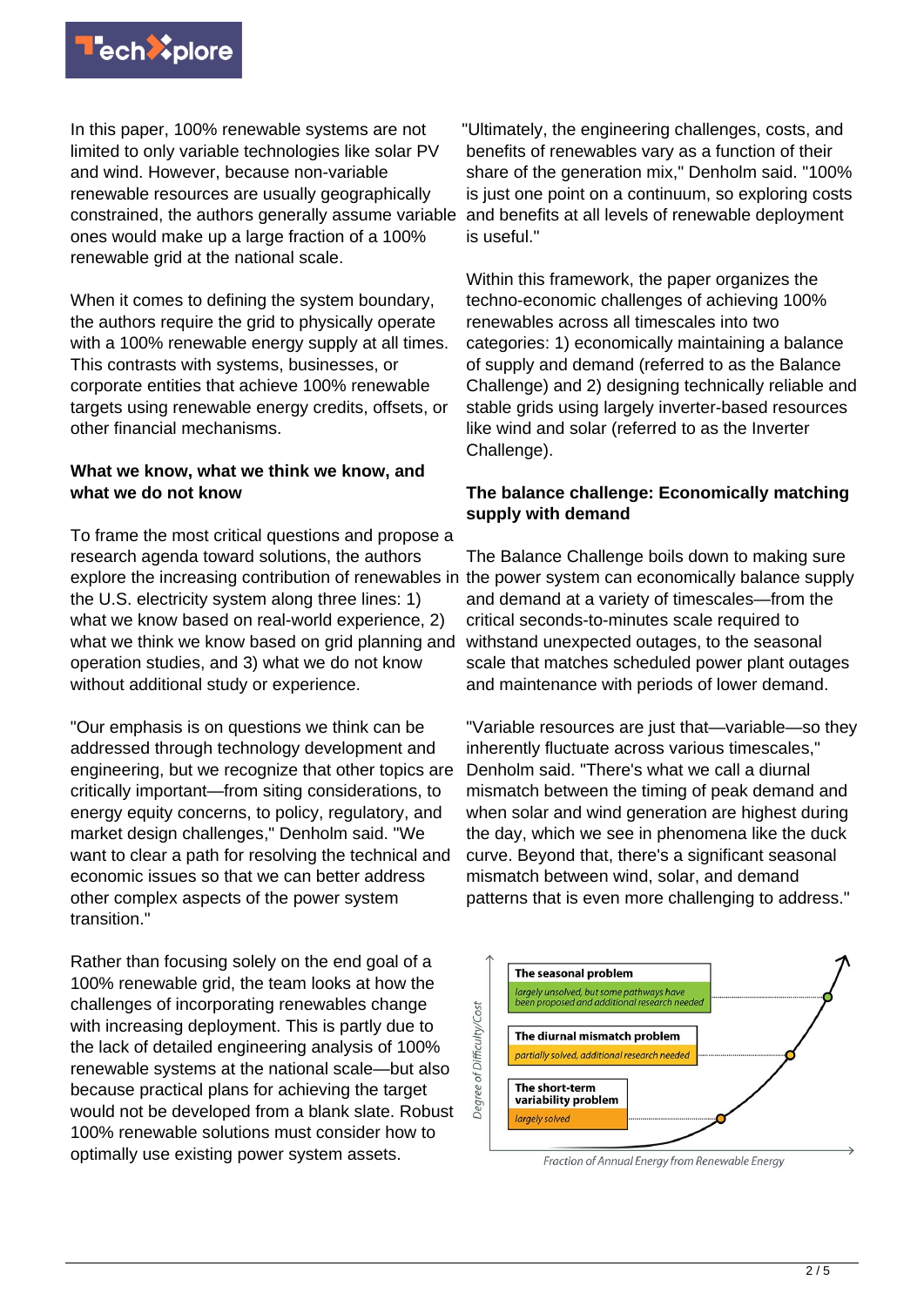

In this paper, 100% renewable systems are not limited to only variable technologies like solar PV and wind. However, because non-variable renewable resources are usually geographically constrained, the authors generally assume variable ones would make up a large fraction of a 100% renewable grid at the national scale.

When it comes to defining the system boundary, the authors require the grid to physically operate with a 100% renewable energy supply at all times. This contrasts with systems, businesses, or corporate entities that achieve 100% renewable targets using renewable energy credits, offsets, or other financial mechanisms.

### **What we know, what we think we know, and what we do not know**

To frame the most critical questions and propose a research agenda toward solutions, the authors explore the increasing contribution of renewables in the power system can economically balance supply the U.S. electricity system along three lines: 1) what we know based on real-world experience, 2) what we think we know based on grid planning and operation studies, and 3) what we do not know without additional study or experience.

"Our emphasis is on questions we think can be addressed through technology development and engineering, but we recognize that other topics are critically important—from siting considerations, to energy equity concerns, to policy, regulatory, and market design challenges," Denholm said. "We want to clear a path for resolving the technical and economic issues so that we can better address other complex aspects of the power system transition."

Rather than focusing solely on the end goal of a 100% renewable grid, the team looks at how the challenges of incorporating renewables change with increasing deployment. This is partly due to the lack of detailed engineering analysis of 100% renewable systems at the national scale—but also because practical plans for achieving the target would not be developed from a blank slate. Robust 100% renewable solutions must consider how to optimally use existing power system assets.

"Ultimately, the engineering challenges, costs, and benefits of renewables vary as a function of their share of the generation mix," Denholm said. "100% is just one point on a continuum, so exploring costs and benefits at all levels of renewable deployment is useful."

Within this framework, the paper organizes the techno-economic challenges of achieving 100% renewables across all timescales into two categories: 1) economically maintaining a balance of supply and demand (referred to as the Balance Challenge) and 2) designing technically reliable and stable grids using largely inverter-based resources like wind and solar (referred to as the Inverter Challenge).

# **The balance challenge: Economically matching supply with demand**

The Balance Challenge boils down to making sure and demand at a variety of timescales—from the critical seconds-to-minutes scale required to withstand unexpected outages, to the seasonal scale that matches scheduled power plant outages and maintenance with periods of lower demand.

"Variable resources are just that—variable—so they inherently fluctuate across various timescales," Denholm said. "There's what we call a diurnal mismatch between the timing of peak demand and when solar and wind generation are highest during the day, which we see in phenomena like the duck curve. Beyond that, there's a significant seasonal mismatch between wind, solar, and demand patterns that is even more challenging to address."



Fraction of Annual Energy from Renewable Energy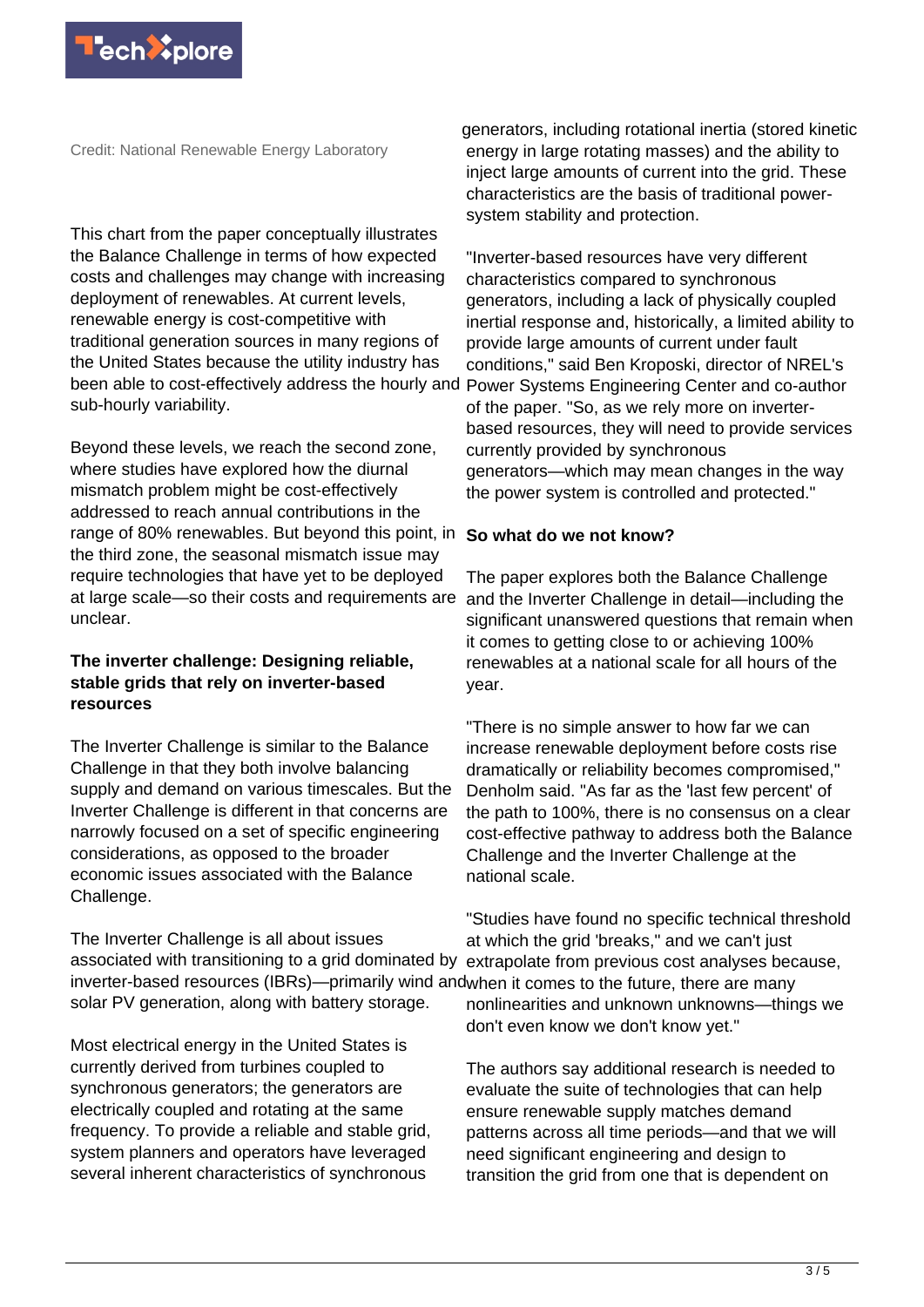

Credit: National Renewable Energy Laboratory

This chart from the paper conceptually illustrates the Balance Challenge in terms of how expected costs and challenges may change with increasing deployment of renewables. At current levels, renewable energy is cost-competitive with traditional generation sources in many regions of the United States because the utility industry has been able to cost-effectively address the hourly and sub-hourly variability.

Beyond these levels, we reach the second zone, where studies have explored how the diurnal mismatch problem might be cost-effectively addressed to reach annual contributions in the range of 80% renewables. But beyond this point, in **So what do we not know?** the third zone, the seasonal mismatch issue may require technologies that have yet to be deployed at large scale—so their costs and requirements are unclear.

# **The inverter challenge: Designing reliable, stable grids that rely on inverter-based resources**

The Inverter Challenge is similar to the Balance Challenge in that they both involve balancing supply and demand on various timescales. But the Inverter Challenge is different in that concerns are narrowly focused on a set of specific engineering considerations, as opposed to the broader economic issues associated with the Balance Challenge.

The Inverter Challenge is all about issues associated with transitioning to a grid dominated by inverter-based resources (IBRs)—primarily wind and when it comes to the future, there are many solar PV generation, along with battery storage.

Most electrical energy in the United States is currently derived from turbines coupled to synchronous generators; the generators are electrically coupled and rotating at the same frequency. To provide a reliable and stable grid, system planners and operators have leveraged several inherent characteristics of synchronous

generators, including rotational inertia (stored kinetic energy in large rotating masses) and the ability to inject large amounts of current into the grid. These characteristics are the basis of traditional powersystem stability and protection.

"Inverter-based resources have very different characteristics compared to synchronous generators, including a lack of physically coupled inertial response and, historically, a limited ability to provide large amounts of current under fault conditions," said Ben Kroposki, director of NREL's Power Systems Engineering Center and co-author of the paper. "So, as we rely more on inverterbased resources, they will need to provide services currently provided by synchronous generators—which may mean changes in the way the power system is controlled and protected."

The paper explores both the Balance Challenge and the Inverter Challenge in detail—including the significant unanswered questions that remain when it comes to getting close to or achieving 100% renewables at a national scale for all hours of the year.

"There is no simple answer to how far we can increase renewable deployment before costs rise dramatically or reliability becomes compromised," Denholm said. "As far as the 'last few percent' of the path to 100%, there is no consensus on a clear cost-effective pathway to address both the Balance Challenge and the Inverter Challenge at the national scale.

"Studies have found no specific technical threshold at which the grid 'breaks," and we can't just extrapolate from previous cost analyses because, nonlinearities and unknown unknowns—things we don't even know we don't know yet."

The authors say additional research is needed to evaluate the suite of technologies that can help ensure renewable supply matches demand patterns across all time periods—and that we will need significant engineering and design to transition the grid from one that is dependent on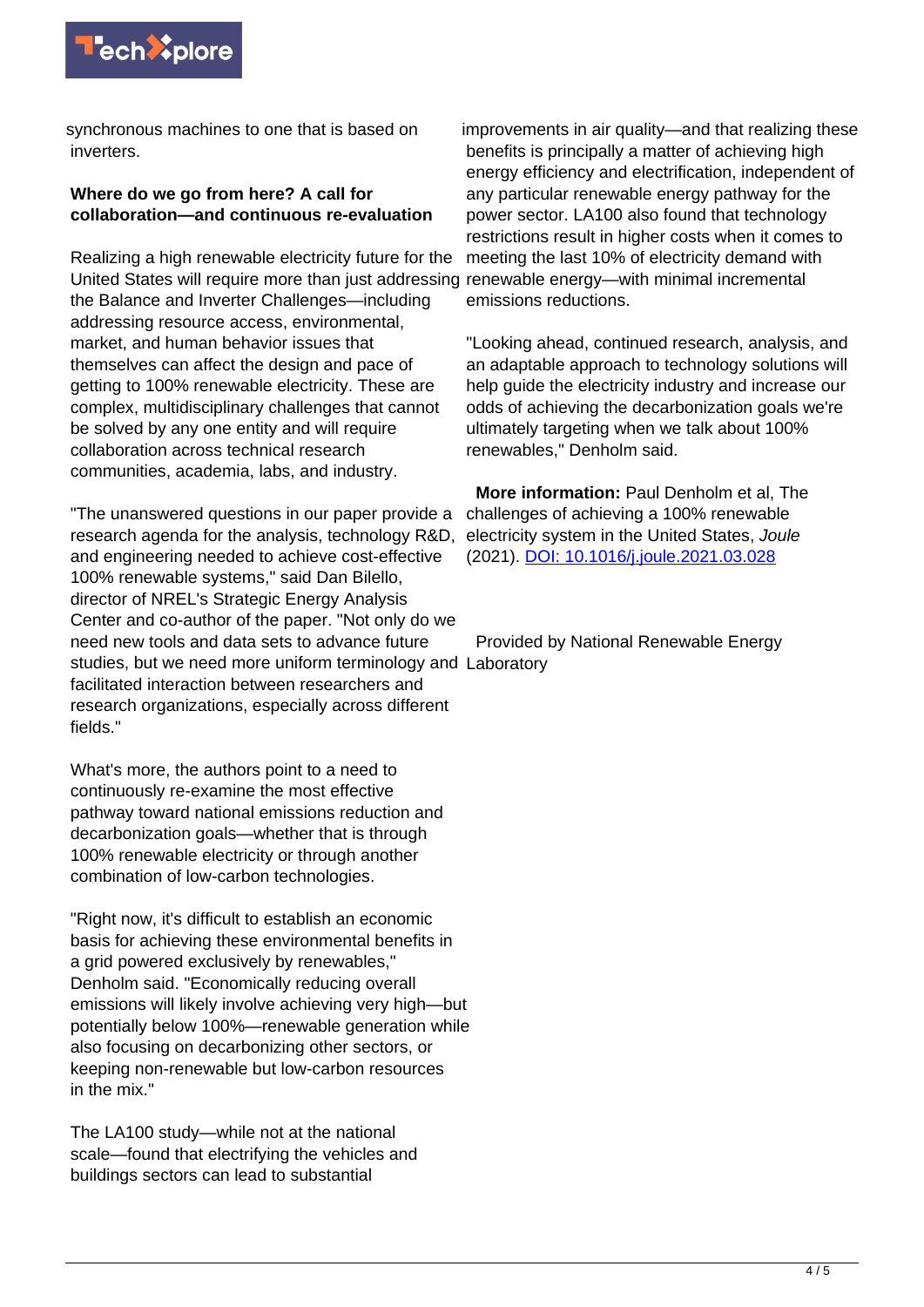

synchronous machines to one that is based on inverters.

# **Where do we go from here? A call for collaboration—and continuous re-evaluation**

Realizing a high renewable electricity future for the United States will require more than just addressing the Balance and Inverter Challenges—including addressing resource access, environmental, market, and human behavior issues that themselves can affect the design and pace of getting to 100% renewable electricity. These are complex, multidisciplinary challenges that cannot be solved by any one entity and will require collaboration across technical research communities, academia, labs, and industry.

"The unanswered questions in our paper provide a research agenda for the analysis, technology R&D, and engineering needed to achieve cost-effective 100% renewable systems," said Dan Bilello, director of NREL's Strategic Energy Analysis Center and co-author of the paper. "Not only do we need new tools and data sets to advance future studies, but we need more uniform terminology and Laboratory facilitated interaction between researchers and research organizations, especially across different fields."

What's more, the authors point to a need to continuously re-examine the most effective pathway toward national emissions reduction and decarbonization goals—whether that is through 100% renewable electricity or through another combination of low-carbon technologies.

"Right now, it's difficult to establish an economic basis for achieving these environmental benefits in a grid powered exclusively by renewables," Denholm said. "Economically reducing overall emissions will likely involve achieving very high—but potentially below 100%—renewable generation while also focusing on decarbonizing other sectors, or keeping non-renewable but low-carbon resources in the mix."

The LA100 study—while not at the national scale—found that electrifying the vehicles and buildings sectors can lead to substantial

improvements in air quality—and that realizing these benefits is principally a matter of achieving high energy efficiency and electrification, independent of any particular renewable energy pathway for the power sector. LA100 also found that technology restrictions result in higher costs when it comes to meeting the last 10% of electricity demand with renewable energy—with minimal incremental emissions reductions.

"Looking ahead, continued research, analysis, and an adaptable approach to technology solutions will help guide the electricity industry and increase our odds of achieving the decarbonization goals we're ultimately targeting when we talk about 100% renewables," Denholm said.

 **More information:** Paul Denholm et al, The challenges of achieving a 100% renewable electricity system in the United States, Joule (2021). [DOI: 10.1016/j.joule.2021.03.028](http://dx.doi.org/10.1016/j.joule.2021.03.028)

Provided by National Renewable Energy